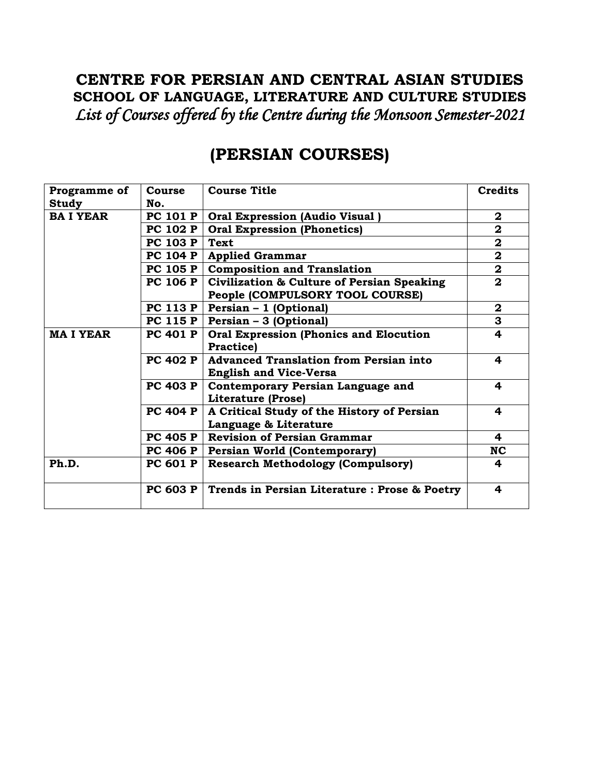## **CENTRE FOR PERSIAN AND CENTRAL ASIAN STUDIES SCHOOL OF LANGUAGE, LITERATURE AND CULTURE STUDIES** *List of Courses offered by the Centre during the Monsoon Semester-2021*

| Programme of    | <b>Course</b>   | <b>Course Title</b>                                   | <b>Credits</b> |
|-----------------|-----------------|-------------------------------------------------------|----------------|
| <b>Study</b>    | No.             |                                                       |                |
| <b>BAI YEAR</b> | <b>PC 101 P</b> | <b>Oral Expression (Audio Visual)</b>                 | $\mathbf{2}$   |
|                 | <b>PC 102 P</b> | <b>Oral Expression (Phonetics)</b>                    | $\mathbf{2}$   |
|                 | <b>PC 103 P</b> | <b>Text</b>                                           | $\mathbf{2}$   |
|                 | <b>PC 104 P</b> | <b>Applied Grammar</b>                                | $\mathbf{2}$   |
|                 |                 | PC 105 P $\vert$ Composition and Translation          | $\mathbf{2}$   |
|                 | <b>PC 106 P</b> | <b>Civilization &amp; Culture of Persian Speaking</b> | $\overline{2}$ |
|                 |                 | People (COMPULSORY TOOL COURSE)                       |                |
|                 | PC 113 P        | Persian - 1 (Optional)                                | $\mathbf{2}$   |
|                 |                 | PC 115 P   Persian $-$ 3 (Optional)                   | 3              |
| <b>MAI YEAR</b> | <b>PC 401 P</b> | <b>Oral Expression (Phonics and Elocution</b>         | 4              |
|                 |                 | <b>Practice)</b>                                      |                |
|                 | <b>PC 402 P</b> | <b>Advanced Translation from Persian into</b>         | 4              |
|                 |                 | <b>English and Vice-Versa</b>                         |                |
|                 | <b>PC 403 P</b> | <b>Contemporary Persian Language and</b>              | 4              |
|                 |                 | <b>Literature (Prose)</b>                             |                |
|                 | <b>PC 404 P</b> | A Critical Study of the History of Persian            | 4              |
|                 |                 | Language & Literature                                 |                |
|                 | $PC$ 405 P      | <b>Revision of Persian Grammar</b>                    | 4              |
|                 | PC 406 P        | <b>Persian World (Contemporary)</b>                   | <b>NC</b>      |
| Ph.D.           | <b>PC 601 P</b> | <b>Research Methodology (Compulsory)</b>              | 4              |
|                 | <b>PC 603 P</b> | Trends in Persian Literature : Prose & Poetry         | 4              |

## **(PERSIAN COURSES)**